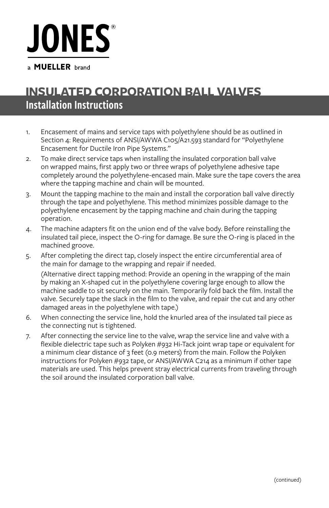## **JONES**

a **MUELLER** brand

## Installation Instructions **INSULATED CORPORATION BALL VALVES**

- 1. Encasement of mains and service taps with polyethylene should be as outlined in Section 4: Requirements of ANSI/AWWA C105/A21.593 standard for "Polyethylene Encasement for Ductile Iron Pipe Systems."
- 2. To make direct service taps when installing the insulated corporation ball valve on wrapped mains, first apply two or three wraps of polyethylene adhesive tape completely around the polyethylene-encased main. Make sure the tape covers the area where the tapping machine and chain will be mounted.
- 3. Mount the tapping machine to the main and install the corporation ball valve directly through the tape and polyethylene. This method minimizes possible damage to the polyethylene encasement by the tapping machine and chain during the tapping operation.
- 4. The machine adapters fit on the union end of the valve body. Before reinstalling the insulated tail piece, inspect the O-ring for damage. Be sure the O-ring is placed in the machined groove.
- 5. After completing the direct tap, closely inspect the entire circumferential area of the main for damage to the wrapping and repair if needed. (Alternative direct tapping method: Provide an opening in the wrapping of the main by making an X-shaped cut in the polyethylene covering large enough to allow the machine saddle to sit securely on the main. Temporarily fold back the film. Install the valve. Securely tape the slack in the film to the valve, and repair the cut and any other damaged areas in the polyethylene with tape.)
- 6. When connecting the service line, hold the knurled area of the insulated tail piece as the connecting nut is tightened.
- 7. After connecting the service line to the valve, wrap the service line and valve with a flexible dielectric tape such as Polyken #932 Hi-Tack joint wrap tape or equivalent for a minimum clear distance of 3 feet (0.9 meters) from the main. Follow the Polyken instructions for Polyken #932 tape, or ANSI/AWWA C214 as a minimum if other tape materials are used. This helps prevent stray electrical currents from traveling through the soil around the insulated corporation ball valve.